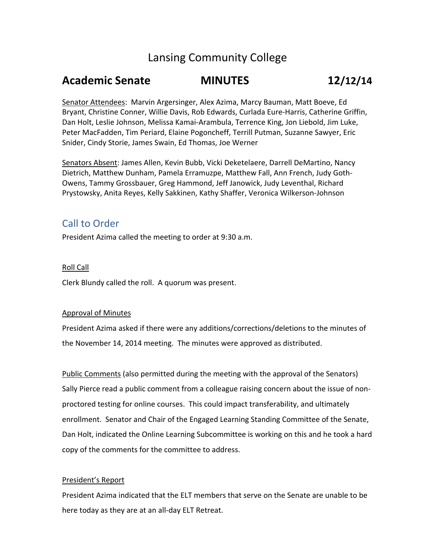# Lansing Community College

## **Academic Senate MINUTES 12/12/14**

Senator Attendees: Marvin Argersinger, Alex Azima, Marcy Bauman, Matt Boeve, Ed Bryant, Christine Conner, Willie Davis, Rob Edwards, Curlada Eure-Harris, Catherine Griffin, Dan Holt, Leslie Johnson, Melissa Kamai-Arambula, Terrence King, Jon Liebold, Jim Luke, Peter MacFadden, Tim Periard, Elaine Pogoncheff, Terrill Putman, Suzanne Sawyer, Eric Snider, Cindy Storie, James Swain, Ed Thomas, Joe Werner

Senators Absent: James Allen, Kevin Bubb, Vicki Deketelaere, Darrell DeMartino, Nancy Dietrich, Matthew Dunham, Pamela Erramuzpe, Matthew Fall, Ann French, Judy Goth-Owens, Tammy Grossbauer, Greg Hammond, Jeff Janowick, Judy Leventhal, Richard Prystowsky, Anita Reyes, Kelly Sakkinen, Kathy Shaffer, Veronica Wilkerson-Johnson

### Call to Order

President Azima called the meeting to order at 9:30 a.m.

#### Roll Call

Clerk Blundy called the roll. A quorum was present.

#### Approval of Minutes

President Azima asked if there were any additions/corrections/deletions to the minutes of the November 14, 2014 meeting. The minutes were approved as distributed.

Public Comments (also permitted during the meeting with the approval of the Senators) Sally Pierce read a public comment from a colleague raising concern about the issue of nonproctored testing for online courses. This could impact transferability, and ultimately enrollment. Senator and Chair of the Engaged Learning Standing Committee of the Senate, Dan Holt, indicated the Online Learning Subcommittee is working on this and he took a hard copy of the comments for the committee to address.

#### President's Report

President Azima indicated that the ELT members that serve on the Senate are unable to be here today as they are at an all-day ELT Retreat.